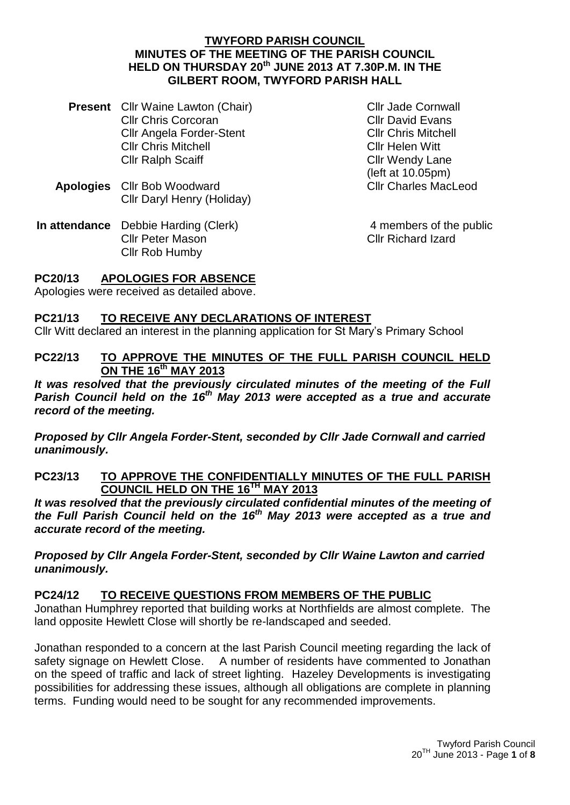#### **TWYFORD PARISH COUNCIL MINUTES OF THE MEETING OF THE PARISH COUNCIL HELD ON THURSDAY 20th JUNE 2013 AT 7.30P.M. IN THE GILBERT ROOM, TWYFORD PARISH HALL**

- **Present** Cllr Waine Lawton (Chair) Cllr Chris Corcoran Cllr Angela Forder-Stent Cllr Chris Mitchell Cllr Ralph Scaiff
- **Apologies** Cllr Bob Woodward Cllr Daryl Henry (Holiday)
- **In attendance** Debbie Harding (Clerk) Cllr Peter Mason Cllr Rob Humby

Cllr Jade Cornwall Cllr David Evans Cllr Chris Mitchell Cllr Helen Witt Cllr Wendy Lane (left at 10.05pm) Cllr Charles MacLeod

4 members of the public Cllr Richard Izard

# **PC20/13 APOLOGIES FOR ABSENCE**

Apologies were received as detailed above.

# **PC21/13 TO RECEIVE ANY DECLARATIONS OF INTEREST**

Cllr Witt declared an interest in the planning application for St Mary's Primary School

#### **PC22/13 TO APPROVE THE MINUTES OF THE FULL PARISH COUNCIL HELD ON THE 16 th MAY 2013**

*It was resolved that the previously circulated minutes of the meeting of the Full Parish Council held on the 16 th May 2013 were accepted as a true and accurate record of the meeting.*

*Proposed by Cllr Angela Forder-Stent, seconded by Cllr Jade Cornwall and carried unanimously.*

#### **PC23/13 TO APPROVE THE CONFIDENTIALLY MINUTES OF THE FULL PARISH COUNCIL HELD ON THE 16TH MAY 2013**

*It was resolved that the previously circulated confidential minutes of the meeting of the Full Parish Council held on the 16th May 2013 were accepted as a true and accurate record of the meeting.*

*Proposed by Cllr Angela Forder-Stent, seconded by Cllr Waine Lawton and carried unanimously.*

#### **PC24/12 TO RECEIVE QUESTIONS FROM MEMBERS OF THE PUBLIC**

Jonathan Humphrey reported that building works at Northfields are almost complete. The land opposite Hewlett Close will shortly be re-landscaped and seeded.

Jonathan responded to a concern at the last Parish Council meeting regarding the lack of safety signage on Hewlett Close. A number of residents have commented to Jonathan on the speed of traffic and lack of street lighting. Hazeley Developments is investigating possibilities for addressing these issues, although all obligations are complete in planning terms. Funding would need to be sought for any recommended improvements.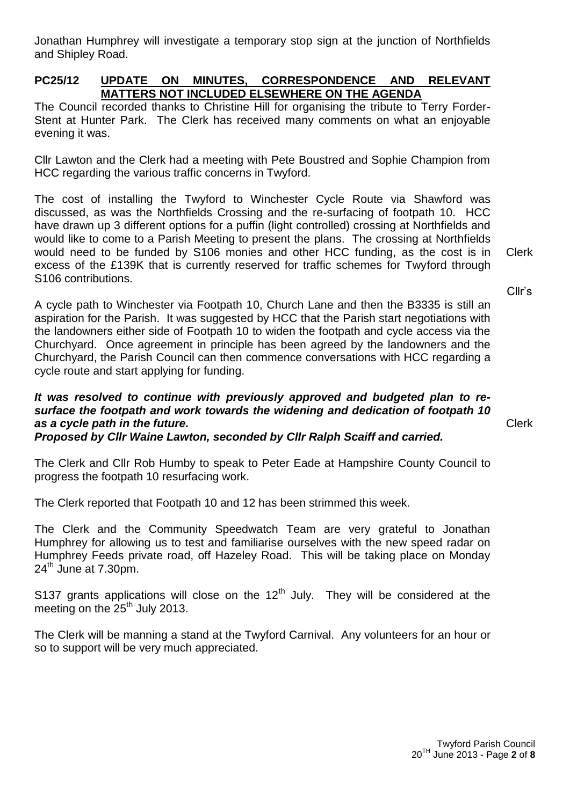Jonathan Humphrey will investigate a temporary stop sign at the junction of Northfields and Shipley Road.

#### **PC25/12 UPDATE ON MINUTES, CORRESPONDENCE AND RELEVANT MATTERS NOT INCLUDED ELSEWHERE ON THE AGENDA**

The Council recorded thanks to Christine Hill for organising the tribute to Terry Forder-Stent at Hunter Park. The Clerk has received many comments on what an enjoyable evening it was.

Cllr Lawton and the Clerk had a meeting with Pete Boustred and Sophie Champion from HCC regarding the various traffic concerns in Twyford.

The cost of installing the Twyford to Winchester Cycle Route via Shawford was discussed, as was the Northfields Crossing and the re-surfacing of footpath 10. HCC have drawn up 3 different options for a puffin (light controlled) crossing at Northfields and would like to come to a Parish Meeting to present the plans. The crossing at Northfields would need to be funded by S106 monies and other HCC funding, as the cost is in excess of the £139K that is currently reserved for traffic schemes for Twyford through S106 contributions.

A cycle path to Winchester via Footpath 10, Church Lane and then the B3335 is still an aspiration for the Parish. It was suggested by HCC that the Parish start negotiations with the landowners either side of Footpath 10 to widen the footpath and cycle access via the Churchyard. Once agreement in principle has been agreed by the landowners and the Churchyard, the Parish Council can then commence conversations with HCC regarding a cycle route and start applying for funding.

#### *It was resolved to continue with previously approved and budgeted plan to resurface the footpath and work towards the widening and dedication of footpath 10 as a cycle path in the future. Proposed by Cllr Waine Lawton, seconded by Cllr Ralph Scaiff and carried.*

The Clerk and Cllr Rob Humby to speak to Peter Eade at Hampshire County Council to progress the footpath 10 resurfacing work.

The Clerk reported that Footpath 10 and 12 has been strimmed this week.

The Clerk and the Community Speedwatch Team are very grateful to Jonathan Humphrey for allowing us to test and familiarise ourselves with the new speed radar on Humphrey Feeds private road, off Hazeley Road. This will be taking place on Monday  $24<sup>th</sup>$  June at 7.30pm.

S137 grants applications will close on the  $12<sup>th</sup>$  July. They will be considered at the meeting on the  $25<sup>th</sup>$  July 2013.

The Clerk will be manning a stand at the Twyford Carnival. Any volunteers for an hour or so to support will be very much appreciated.

Clerk

Clerk

Cllr's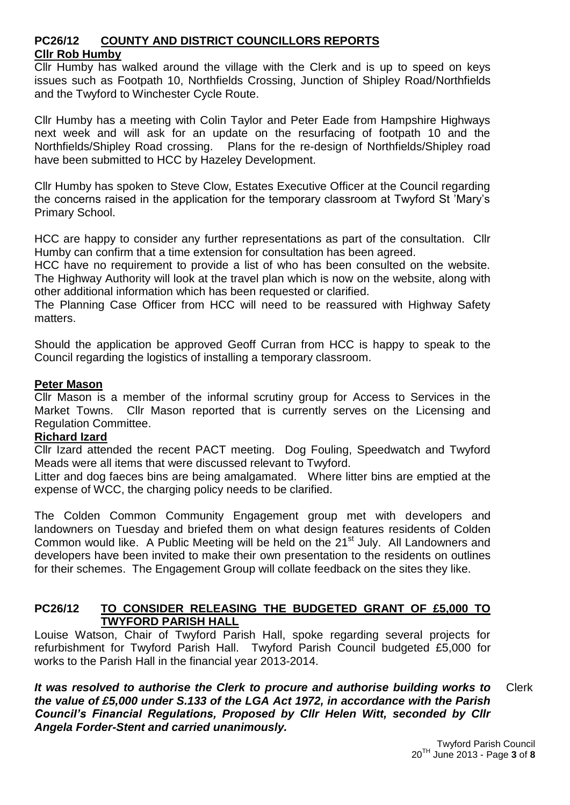# **PC26/12 COUNTY AND DISTRICT COUNCILLORS REPORTS Cllr Rob Humby**

Cllr Humby has walked around the village with the Clerk and is up to speed on keys issues such as Footpath 10, Northfields Crossing, Junction of Shipley Road/Northfields and the Twyford to Winchester Cycle Route.

Cllr Humby has a meeting with Colin Taylor and Peter Eade from Hampshire Highways next week and will ask for an update on the resurfacing of footpath 10 and the Northfields/Shipley Road crossing. Plans for the re-design of Northfields/Shipley road have been submitted to HCC by Hazeley Development.

Cllr Humby has spoken to Steve Clow, Estates Executive Officer at the Council regarding the concerns raised in the application for the temporary classroom at Twyford St 'Mary's Primary School.

HCC are happy to consider any further representations as part of the consultation. Cllr Humby can confirm that a time extension for consultation has been agreed.

HCC have no requirement to provide a list of who has been consulted on the website. The Highway Authority will look at the travel plan which is now on the website, along with other additional information which has been requested or clarified.

The Planning Case Officer from HCC will need to be reassured with Highway Safety matters.

Should the application be approved Geoff Curran from HCC is happy to speak to the Council regarding the logistics of installing a temporary classroom.

#### **Peter Mason**

Cllr Mason is a member of the informal scrutiny group for Access to Services in the Market Towns. Cllr Mason reported that is currently serves on the Licensing and Regulation Committee.

#### **Richard Izard**

Cllr Izard attended the recent PACT meeting. Dog Fouling, Speedwatch and Twyford Meads were all items that were discussed relevant to Twyford.

Litter and dog faeces bins are being amalgamated. Where litter bins are emptied at the expense of WCC, the charging policy needs to be clarified.

The Colden Common Community Engagement group met with developers and landowners on Tuesday and briefed them on what design features residents of Colden Common would like. A Public Meeting will be held on the 21<sup>st</sup> July. All Landowners and developers have been invited to make their own presentation to the residents on outlines for their schemes. The Engagement Group will collate feedback on the sites they like.

# **PC26/12 TO CONSIDER RELEASING THE BUDGETED GRANT OF £5,000 TO TWYFORD PARISH HALL**

Louise Watson, Chair of Twyford Parish Hall, spoke regarding several projects for refurbishment for Twyford Parish Hall. Twyford Parish Council budgeted £5,000 for works to the Parish Hall in the financial year 2013-2014.

*It was resolved to authorise the Clerk to procure and authorise building works to the value of £5,000 under S.133 of the LGA Act 1972, in accordance with the Parish Council's Financial Regulations, Proposed by Cllr Helen Witt, seconded by Cllr Angela Forder-Stent and carried unanimously.* Clerk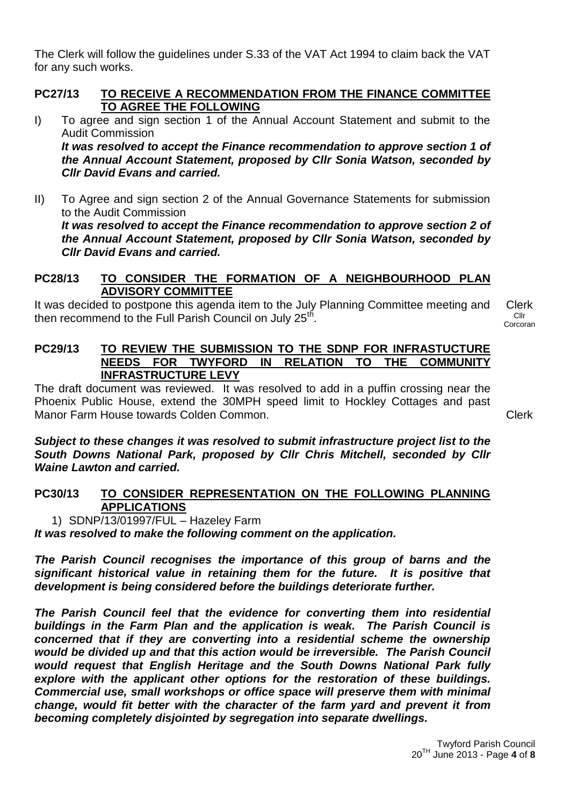The Clerk will follow the guidelines under S.33 of the VAT Act 1994 to claim back the VAT for any such works.

#### **PC27/13 TO RECEIVE A RECOMMENDATION FROM THE FINANCE COMMITTEE TO AGREE THE FOLLOWING**

- I) To agree and sign section 1 of the Annual Account Statement and submit to the Audit Commission *It was resolved to accept the Finance recommendation to approve section 1 of the Annual Account Statement, proposed by Cllr Sonia Watson, seconded by Cllr David Evans and carried.*
- II) To Agree and sign section 2 of the Annual Governance Statements for submission to the Audit Commission *It was resolved to accept the Finance recommendation to approve section 2 of the Annual Account Statement, proposed by Cllr Sonia Watson, seconded by Cllr David Evans and carried.*

# **PC28/13 TO CONSIDER THE FORMATION OF A NEIGHBOURHOOD PLAN ADVISORY COMMITTEE**

It was decided to postpone this agenda item to the July Planning Committee meeting and then recommend to the Full Parish Council on July 25<sup>th</sup>.

Clerk Cllr Corcoran

**PC29/13 TO REVIEW THE SUBMISSION TO THE SDNP FOR INFRASTUCTURE NEEDS FOR TWYFORD IN RELATION TO THE COMMUNITY INFRASTRUCTURE LEVY**

The draft document was reviewed. It was resolved to add in a puffin crossing near the Phoenix Public House, extend the 30MPH speed limit to Hockley Cottages and past Manor Farm House towards Colden Common.

Clerk

*Subject to these changes it was resolved to submit infrastructure project list to the South Downs National Park, proposed by Cllr Chris Mitchell, seconded by Cllr Waine Lawton and carried.*

# **PC30/13 TO CONSIDER REPRESENTATION ON THE FOLLOWING PLANNING APPLICATIONS**

#### 1) SDNP/13/01997/FUL – Hazeley Farm

*It was resolved to make the following comment on the application.* 

*The Parish Council recognises the importance of this group of barns and the significant historical value in retaining them for the future. It is positive that development is being considered before the buildings deteriorate further.* 

*The Parish Council feel that the evidence for converting them into residential buildings in the Farm Plan and the application is weak. The Parish Council is concerned that if they are converting into a residential scheme the ownership would be divided up and that this action would be irreversible. The Parish Council would request that English Heritage and the South Downs National Park fully explore with the applicant other options for the restoration of these buildings. Commercial use, small workshops or office space will preserve them with minimal change, would fit better with the character of the farm yard and prevent it from becoming completely disjointed by segregation into separate dwellings.*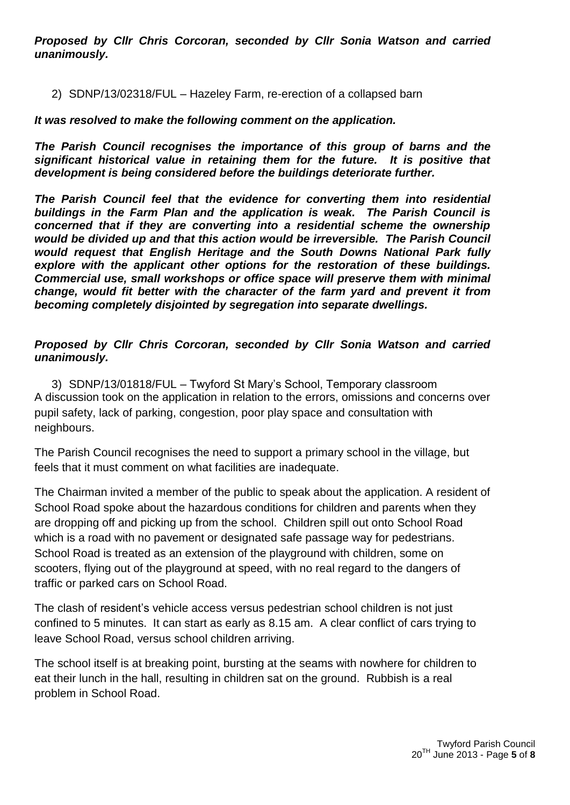*Proposed by Cllr Chris Corcoran, seconded by Cllr Sonia Watson and carried unanimously.*

2) SDNP/13/02318/FUL – Hazeley Farm, re-erection of a collapsed barn

#### *It was resolved to make the following comment on the application.*

*The Parish Council recognises the importance of this group of barns and the significant historical value in retaining them for the future. It is positive that development is being considered before the buildings deteriorate further.* 

*The Parish Council feel that the evidence for converting them into residential buildings in the Farm Plan and the application is weak. The Parish Council is concerned that if they are converting into a residential scheme the ownership would be divided up and that this action would be irreversible. The Parish Council would request that English Heritage and the South Downs National Park fully explore with the applicant other options for the restoration of these buildings. Commercial use, small workshops or office space will preserve them with minimal change, would fit better with the character of the farm yard and prevent it from becoming completely disjointed by segregation into separate dwellings.*

#### *Proposed by Cllr Chris Corcoran, seconded by Cllr Sonia Watson and carried unanimously.*

3) SDNP/13/01818/FUL – Twyford St Mary's School, Temporary classroom A discussion took on the application in relation to the errors, omissions and concerns over pupil safety, lack of parking, congestion, poor play space and consultation with neighbours.

The Parish Council recognises the need to support a primary school in the village, but feels that it must comment on what facilities are inadequate.

The Chairman invited a member of the public to speak about the application. A resident of School Road spoke about the hazardous conditions for children and parents when they are dropping off and picking up from the school. Children spill out onto School Road which is a road with no pavement or designated safe passage way for pedestrians. School Road is treated as an extension of the playground with children, some on scooters, flying out of the playground at speed, with no real regard to the dangers of traffic or parked cars on School Road.

The clash of resident's vehicle access versus pedestrian school children is not just confined to 5 minutes. It can start as early as 8.15 am. A clear conflict of cars trying to leave School Road, versus school children arriving.

The school itself is at breaking point, bursting at the seams with nowhere for children to eat their lunch in the hall, resulting in children sat on the ground. Rubbish is a real problem in School Road.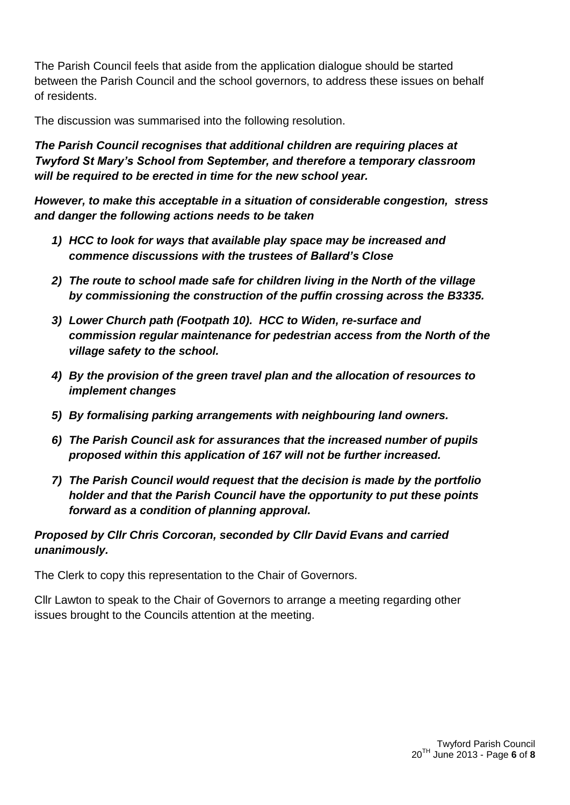The Parish Council feels that aside from the application dialogue should be started between the Parish Council and the school governors, to address these issues on behalf of residents.

The discussion was summarised into the following resolution.

*The Parish Council recognises that additional children are requiring places at Twyford St Mary's School from September, and therefore a temporary classroom will be required to be erected in time for the new school year.* 

*However, to make this acceptable in a situation of considerable congestion, stress and danger the following actions needs to be taken*

- *1) HCC to look for ways that available play space may be increased and commence discussions with the trustees of Ballard's Close*
- *2) The route to school made safe for children living in the North of the village by commissioning the construction of the puffin crossing across the B3335.*
- *3) Lower Church path (Footpath 10). HCC to Widen, re-surface and commission regular maintenance for pedestrian access from the North of the village safety to the school.*
- *4) By the provision of the green travel plan and the allocation of resources to implement changes*
- *5) By formalising parking arrangements with neighbouring land owners.*
- *6) The Parish Council ask for assurances that the increased number of pupils proposed within this application of 167 will not be further increased.*
- *7) The Parish Council would request that the decision is made by the portfolio holder and that the Parish Council have the opportunity to put these points forward as a condition of planning approval.*

# *Proposed by Cllr Chris Corcoran, seconded by Cllr David Evans and carried unanimously.*

The Clerk to copy this representation to the Chair of Governors.

Cllr Lawton to speak to the Chair of Governors to arrange a meeting regarding other issues brought to the Councils attention at the meeting.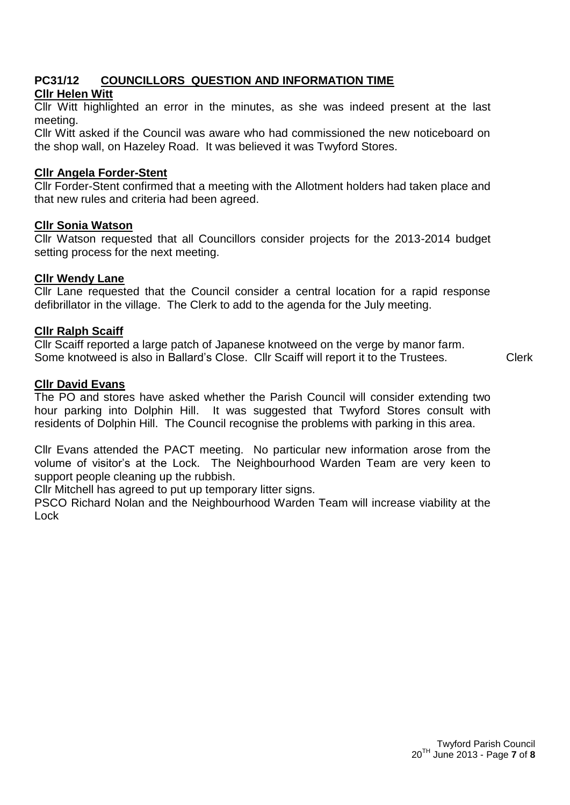#### **PC31/12 COUNCILLORS QUESTION AND INFORMATION TIME Cllr Helen Witt**

Cllr Witt highlighted an error in the minutes, as she was indeed present at the last meeting.

Cllr Witt asked if the Council was aware who had commissioned the new noticeboard on the shop wall, on Hazeley Road. It was believed it was Twyford Stores.

#### **Cllr Angela Forder-Stent**

Cllr Forder-Stent confirmed that a meeting with the Allotment holders had taken place and that new rules and criteria had been agreed.

#### **Cllr Sonia Watson**

Cllr Watson requested that all Councillors consider projects for the 2013-2014 budget setting process for the next meeting.

# **Cllr Wendy Lane**

Cllr Lane requested that the Council consider a central location for a rapid response defibrillator in the village. The Clerk to add to the agenda for the July meeting.

# **Cllr Ralph Scaiff**

Cllr Scaiff reported a large patch of Japanese knotweed on the verge by manor farm. Some knotweed is also in Ballard's Close. Cllr Scaiff will report it to the Trustees.

# **Cllr David Evans**

The PO and stores have asked whether the Parish Council will consider extending two hour parking into Dolphin Hill. It was suggested that Twyford Stores consult with residents of Dolphin Hill. The Council recognise the problems with parking in this area.

Cllr Evans attended the PACT meeting. No particular new information arose from the volume of visitor's at the Lock. The Neighbourhood Warden Team are very keen to support people cleaning up the rubbish.

Cllr Mitchell has agreed to put up temporary litter signs.

PSCO Richard Nolan and the Neighbourhood Warden Team will increase viability at the Lock

Clerk